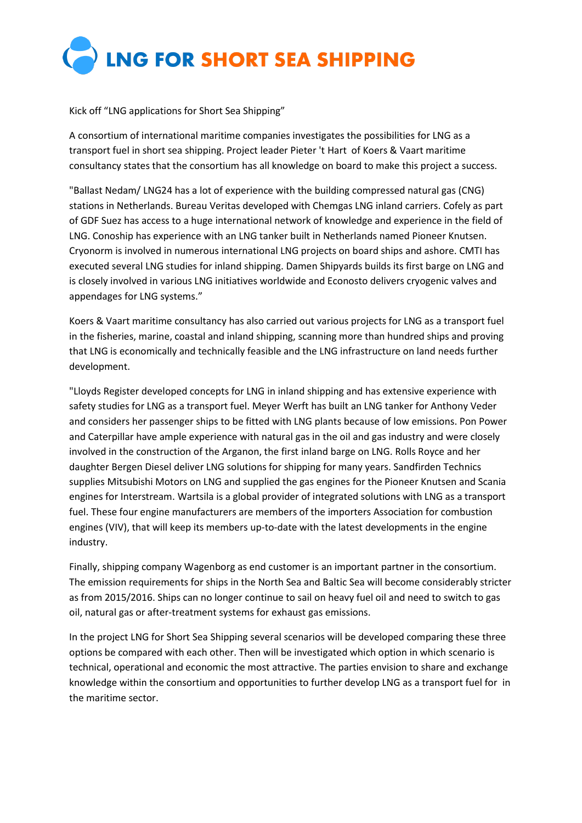

Kick off "LNG applications for Short Sea Shipping"

A consortium of international maritime companies investigates the possibilities for LNG as a transport fuel in short sea shipping. Project leader Pieter 't Hart of Koers & Vaart maritime consultancy states that the consortium has all knowledge on board to make this project a success.

"Ballast Nedam/ LNG24 has a lot of experience with the building compressed natural gas (CNG) stations in Netherlands. Bureau Veritas developed with Chemgas LNG inland carriers. Cofely as part of GDF Suez has access to a huge international network of knowledge and experience in the field of LNG. Conoship has experience with an LNG tanker built in Netherlands named Pioneer Knutsen. Cryonorm is involved in numerous international LNG projects on board ships and ashore. CMTI has executed several LNG studies for inland shipping. Damen Shipyards builds its first barge on LNG and is closely involved in various LNG initiatives worldwide and Econosto delivers cryogenic valves and appendages for LNG systems."

Koers & Vaart maritime consultancy has also carried out various projects for LNG as a transport fuel in the fisheries, marine, coastal and inland shipping, scanning more than hundred ships and proving that LNG is economically and technically feasible and the LNG infrastructure on land needs further development.

"Lloyds Register developed concepts for LNG in inland shipping and has extensive experience with safety studies for LNG as a transport fuel. Meyer Werft has built an LNG tanker for Anthony Veder and considers her passenger ships to be fitted with LNG plants because of low emissions. Pon Power and Caterpillar have ample experience with natural gas in the oil and gas industry and were closely involved in the construction of the Arganon, the first inland barge on LNG. Rolls Royce and her daughter Bergen Diesel deliver LNG solutions for shipping for many years. Sandfirden Technics supplies Mitsubishi Motors on LNG and supplied the gas engines for the Pioneer Knutsen and Scania engines for Interstream. Wartsila is a global provider of integrated solutions with LNG as a transport fuel. These four engine manufacturers are members of the importers Association for combustion engines (VIV), that will keep its members up-to-date with the latest developments in the engine industry.

Finally, shipping company Wagenborg as end customer is an important partner in the consortium. The emission requirements for ships in the North Sea and Baltic Sea will become considerably stricter as from 2015/2016. Ships can no longer continue to sail on heavy fuel oil and need to switch to gas oil, natural gas or after-treatment systems for exhaust gas emissions.

In the project LNG for Short Sea Shipping several scenarios will be developed comparing these three options be compared with each other. Then will be investigated which option in which scenario is technical, operational and economic the most attractive. The parties envision to share and exchange knowledge within the consortium and opportunities to further develop LNG as a transport fuel for in the maritime sector.